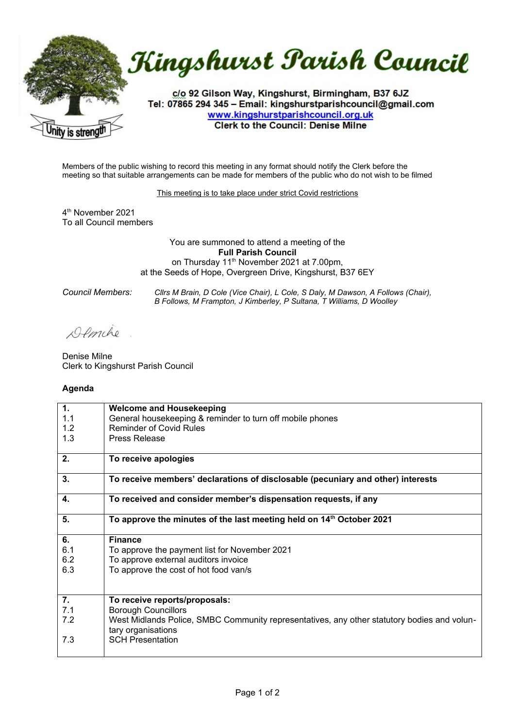



c/o 92 Gilson Way, Kingshurst, Birmingham, B37 6JZ Tel: 07865 294 345 - Email: kingshurstparishcouncil@gmail.com www.kingshurstparishcouncil.org.uk **Clerk to the Council: Denise Milne** 

Members of the public wishing to record this meeting in any format should notify the Clerk before the meeting so that suitable arrangements can be made for members of the public who do not wish to be filmed

This meeting is to take place under strict Covid restrictions

4 th November 2021 To all Council members

> You are summoned to attend a meeting of the **Full Parish Council** on Thursday 11<sup>th</sup> November 2021 at 7.00pm, at the Seeds of Hope, Overgreen Drive, Kingshurst, B37 6EY

*Council Members: Cllrs M Brain, D Cole (Vice Chair), L Cole, S Daly, M Dawson, A Follows (Chair), B Follows, M Frampton, J Kimberley, P Sultana, T Williams, D Woolley*

Demilio

Denise Milne Clerk to Kingshurst Parish Council

## **Agenda**

| 1.  | <b>Welcome and Housekeeping</b>                                                             |
|-----|---------------------------------------------------------------------------------------------|
| 1.1 | General housekeeping & reminder to turn off mobile phones                                   |
| 1.2 | <b>Reminder of Covid Rules</b>                                                              |
| 1.3 | Press Release                                                                               |
|     |                                                                                             |
| 2.  | To receive apologies                                                                        |
|     |                                                                                             |
| 3.  | To receive members' declarations of disclosable (pecuniary and other) interests             |
| 4.  | To received and consider member's dispensation requests, if any                             |
|     |                                                                                             |
| 5.  | To approve the minutes of the last meeting held on 14 <sup>th</sup> October 2021            |
|     |                                                                                             |
| 6.  | <b>Finance</b>                                                                              |
| 6.1 | To approve the payment list for November 2021                                               |
| 6.2 | To approve external auditors invoice                                                        |
| 6.3 | To approve the cost of hot food van/s                                                       |
|     |                                                                                             |
|     |                                                                                             |
| 7.  | To receive reports/proposals:                                                               |
| 7.1 | <b>Borough Councillors</b>                                                                  |
| 7.2 | West Midlands Police, SMBC Community representatives, any other statutory bodies and volun- |
|     | tary organisations                                                                          |
| 7.3 | <b>SCH Presentation</b>                                                                     |
|     |                                                                                             |